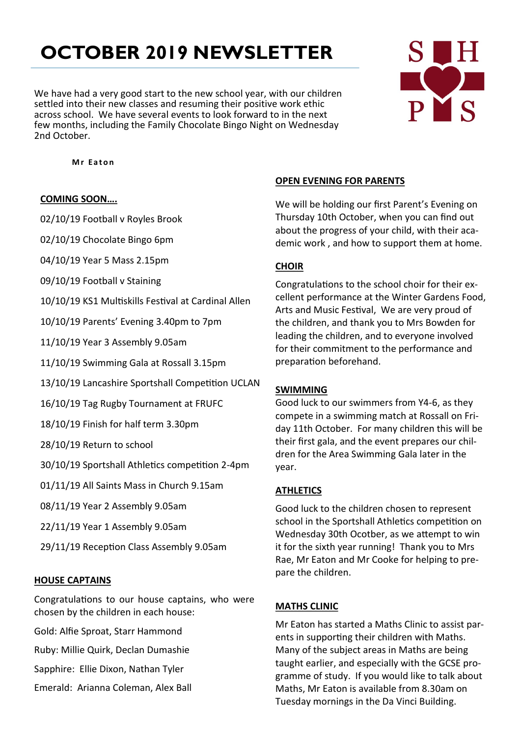# **OCTOBER 2019 NEWSLETTER**

We have had a very good start to the new school year, with our children settled into their new classes and resuming their positive work ethic across school. We have several events to look forward to in the next few months, including the Family Chocolate Bingo Night on Wednesday 2nd October.



 **M r E a t o n**

#### **COMING SOON….**

02/10/19 Football v Royles Brook

02/10/19 Chocolate Bingo 6pm

04/10/19 Year 5 Mass 2.15pm

09/10/19 Football v Staining

10/10/19 KS1 Multiskills Festival at Cardinal Allen

10/10/19 Parents' Evening 3.40pm to 7pm

11/10/19 Year 3 Assembly 9.05am

11/10/19 Swimming Gala at Rossall 3.15pm

13/10/19 Lancashire Sportshall Competition UCLAN

16/10/19 Tag Rugby Tournament at FRUFC

18/10/19 Finish for half term 3.30pm

28/10/19 Return to school

30/10/19 Sportshall Athletics competition 2-4pm

01/11/19 All Saints Mass in Church 9.15am

08/11/19 Year 2 Assembly 9.05am

22/11/19 Year 1 Assembly 9.05am

29/11/19 Reception Class Assembly 9.05am

#### **HOUSE CAPTAINS**

Congratulations to our house captains, who were chosen by the children in each house:

Gold: Alfie Sproat, Starr Hammond

Ruby: Millie Quirk, Declan Dumashie

Sapphire: Ellie Dixon, Nathan Tyler

Emerald: Arianna Coleman, Alex Ball

### **OPEN EVENING FOR PARENTS**

We will be holding our first Parent's Evening on Thursday 10th October, when you can find out about the progress of your child, with their academic work , and how to support them at home.

# **CHOIR**

Congratulations to the school choir for their excellent performance at the Winter Gardens Food, Arts and Music Festival, We are very proud of the children, and thank you to Mrs Bowden for leading the children, and to everyone involved for their commitment to the performance and preparation beforehand.

## **SWIMMING**

Good luck to our swimmers from Y4-6, as they compete in a swimming match at Rossall on Friday 11th October. For many children this will be their first gala, and the event prepares our children for the Area Swimming Gala later in the year.

## **ATHLETICS**

Good luck to the children chosen to represent school in the Sportshall Athletics competition on Wednesday 30th Ocotber, as we attempt to win it for the sixth year running! Thank you to Mrs Rae, Mr Eaton and Mr Cooke for helping to prepare the children.

## **MATHS CLINIC**

Mr Eaton has started a Maths Clinic to assist parents in supporting their children with Maths. Many of the subject areas in Maths are being taught earlier, and especially with the GCSE programme of study. If you would like to talk about Maths, Mr Eaton is available from 8.30am on Tuesday mornings in the Da Vinci Building.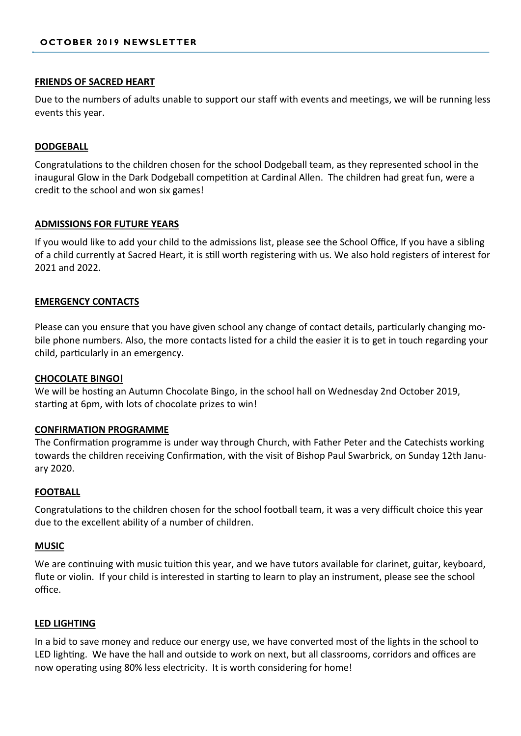#### **FRIENDS OF SACRED HEART**

Due to the numbers of adults unable to support our staff with events and meetings, we will be running less events this year.

#### **DODGEBALL**

Congratulations to the children chosen for the school Dodgeball team, as they represented school in the inaugural Glow in the Dark Dodgeball competition at Cardinal Allen. The children had great fun, were a credit to the school and won six games!

#### **ADMISSIONS FOR FUTURE YEARS**

If you would like to add your child to the admissions list, please see the School Office, If you have a sibling of a child currently at Sacred Heart, it is still worth registering with us. We also hold registers of interest for 2021 and 2022.

#### **EMERGENCY CONTACTS**

Please can you ensure that you have given school any change of contact details, particularly changing mobile phone numbers. Also, the more contacts listed for a child the easier it is to get in touch regarding your child, particularly in an emergency.

#### **CHOCOLATE BINGO!**

We will be hosting an Autumn Chocolate Bingo, in the school hall on Wednesday 2nd October 2019, starting at 6pm, with lots of chocolate prizes to win!

#### **CONFIRMATION PROGRAMME**

The Confirmation programme is under way through Church, with Father Peter and the Catechists working towards the children receiving Confirmation, with the visit of Bishop Paul Swarbrick, on Sunday 12th January 2020.

#### **FOOTBALL**

Congratulations to the children chosen for the school football team, it was a very difficult choice this year due to the excellent ability of a number of children.

#### **MUSIC**

We are continuing with music tuition this year, and we have tutors available for clarinet, guitar, keyboard, flute or violin. If your child is interested in starting to learn to play an instrument, please see the school office.

#### **LED LIGHTING**

In a bid to save money and reduce our energy use, we have converted most of the lights in the school to LED lighting. We have the hall and outside to work on next, but all classrooms, corridors and offices are now operating using 80% less electricity. It is worth considering for home!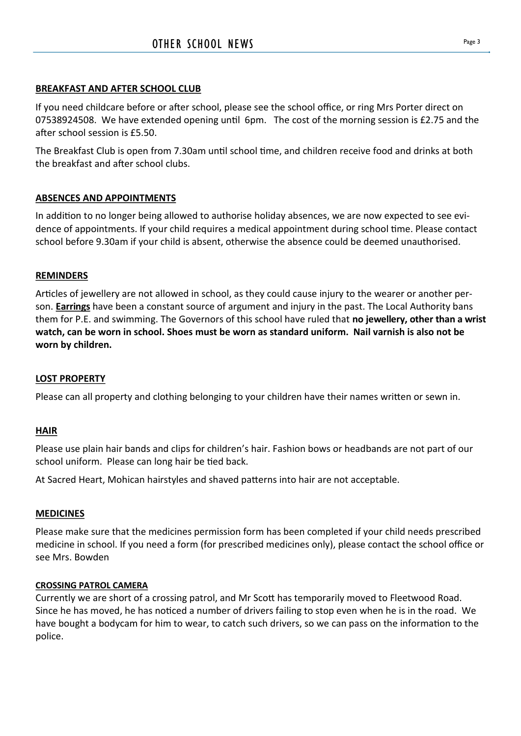# **BREAKFAST AND AFTER SCHOOL CLUB**

If you need childcare before or after school, please see the school office, or ring Mrs Porter direct on 07538924508. We have extended opening until 6pm. The cost of the morning session is £2.75 and the after school session is £5.50.

The Breakfast Club is open from 7.30am until school time, and children receive food and drinks at both the breakfast and after school clubs.

# **ABSENCES AND APPOINTMENTS**

In addition to no longer being allowed to authorise holiday absences, we are now expected to see evidence of appointments. If your child requires a medical appointment during school time. Please contact school before 9.30am if your child is absent, otherwise the absence could be deemed unauthorised.

# **REMINDERS**

Articles of jewellery are not allowed in school, as they could cause injury to the wearer or another person. **Earrings** have been a constant source of argument and injury in the past. The Local Authority bans them for P.E. and swimming. The Governors of this school have ruled that **no jewellery, other than a wrist watch, can be worn in school. Shoes must be worn as standard uniform. Nail varnish is also not be worn by children.**

# **LOST PROPERTY**

Please can all property and clothing belonging to your children have their names written or sewn in.

# **HAIR**

Please use plain hair bands and clips for children's hair. Fashion bows or headbands are not part of our school uniform. Please can long hair be tied back.

At Sacred Heart, Mohican hairstyles and shaved patterns into hair are not acceptable.

# **MEDICINES**

Please make sure that the medicines permission form has been completed if your child needs prescribed medicine in school. If you need a form (for prescribed medicines only), please contact the school office or see Mrs. Bowden

# **CROSSING PATROL CAMERA**

Currently we are short of a crossing patrol, and Mr Scott has temporarily moved to Fleetwood Road. Since he has moved, he has noticed a number of drivers failing to stop even when he is in the road. We have bought a bodycam for him to wear, to catch such drivers, so we can pass on the information to the police.